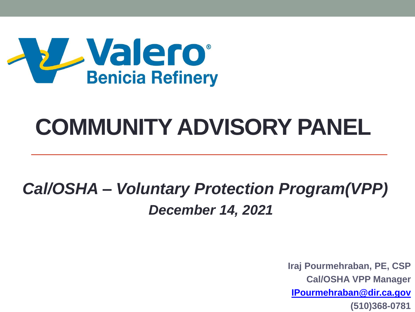

### **COMMUNITY ADVISORY PANEL**

#### *Cal/OSHA – Voluntary Protection Program(VPP) December 14, 2021*

**Iraj Pourmehraban, PE, CSP Cal/OSHA VPP Manager [IPourmehraban@dir.ca.gov](mailto:IPourmehraban@dir.ca.gov) (510)368-0781**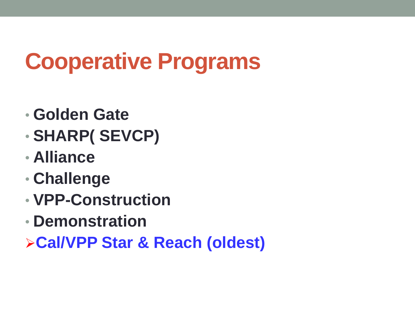### **Cooperative Programs**

- **Golden Gate**
- **SHARP( SEVCP)**
- **Alliance**
- **Challenge**
- **VPP-Construction**
- **Demonstration**
- ➢**Cal/VPP Star & Reach (oldest)**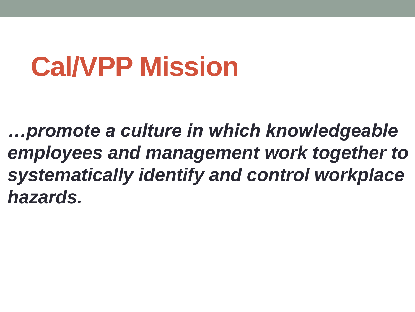## **Cal/VPP Mission**

*…promote a culture in which knowledgeable employees and management work together to systematically identify and control workplace hazards.*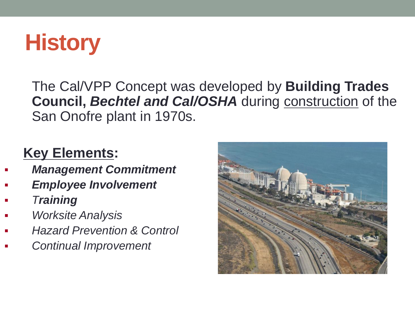

The Cal/VPP Concept was developed by **Building Trades Council,** *Bechtel and Cal/OSHA* during construction of the San Onofre plant in 1970s.

#### **Key Elements:**

- **Management Commitment**
- **Employee Involvement**
- *Training*
- *Worksite Analysis*
- **Hazard Prevention & Control**
- **Continual Improvement**

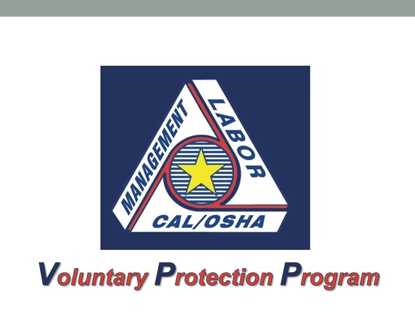

# **Voluntary Protection Program**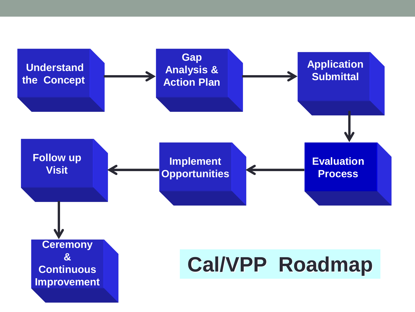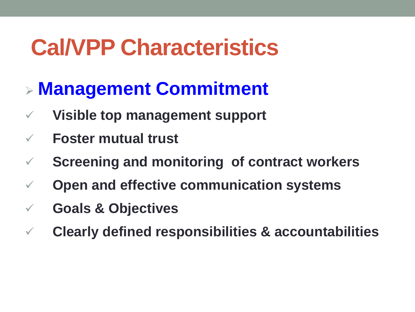### ➢ **Management Commitment**

- ✓ **Visible top management support**
- ✓ **Foster mutual trust**
- ✓ **Screening and monitoring of contract workers**
- ✓ **Open and effective communication systems**
- ✓ **Goals & Objectives**
- ✓ **Clearly defined responsibilities & accountabilities**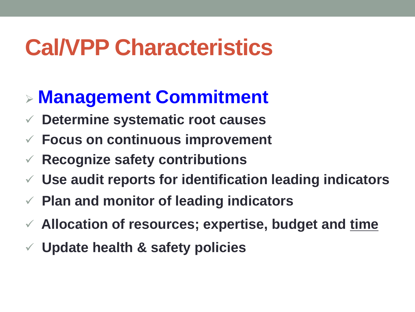#### ➢ **Management Commitment**

- ✓ **Determine systematic root causes**
- ✓ **Focus on continuous improvement**
- ✓ **Recognize safety contributions**
- ✓ **Use audit reports for identification leading indicators**
- ✓ **Plan and monitor of leading indicators**
- ✓ **Allocation of resources; expertise, budget and time**
- ✓ **Update health & safety policies**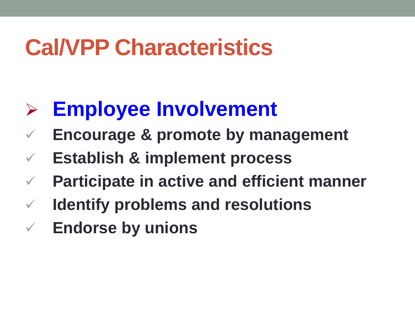### ➢ **Employee Involvement**

- **Encourage & promote by management**
- ✓ **Establish & implement process**
- **Participate in active and efficient manner**
- ✓ **Identify problems and resolutions**
- ✓ **Endorse by unions**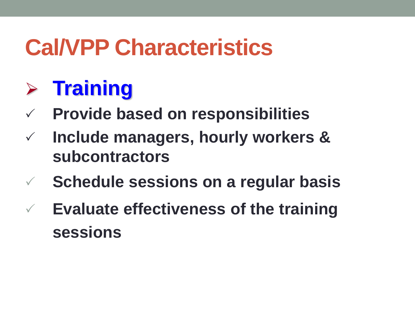### ➢ **Training**

- **Provide based on responsibilities**
- **Include managers, hourly workers & subcontractors**
- **Schedule sessions on a regular basis**
- **Evaluate effectiveness of the training sessions**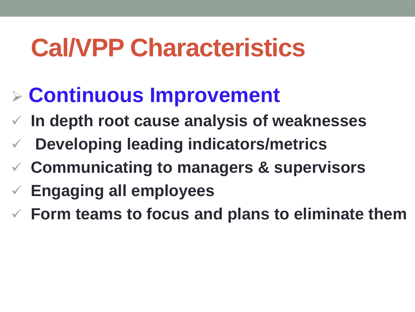### ➢ **Continuous Improvement**

- ✓ **In depth root cause analysis of weaknesses**
- ✓ **Developing leading indicators/metrics**
- ✓ **Communicating to managers & supervisors**
- ✓ **Engaging all employees**
- ✓ **Form teams to focus and plans to eliminate them**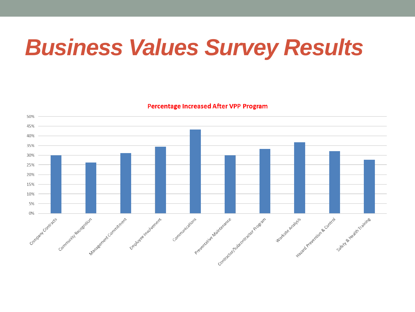### *Business Values Survey Results*

**Percentage Increased After VPP Program** 

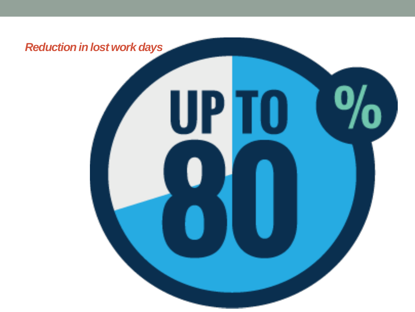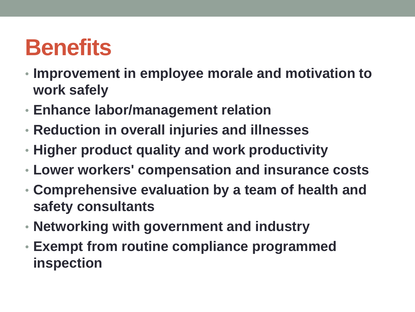### **Benefits**

- **Improvement in employee morale and motivation to work safely**
- **Enhance labor/management relation**
- **Reduction in overall injuries and illnesses**
- **Higher product quality and work productivity**
- **Lower workers' compensation and insurance costs**
- **Comprehensive evaluation by a team of health and safety consultants**
- **Networking with government and industry**
- **Exempt from routine compliance programmed inspection**